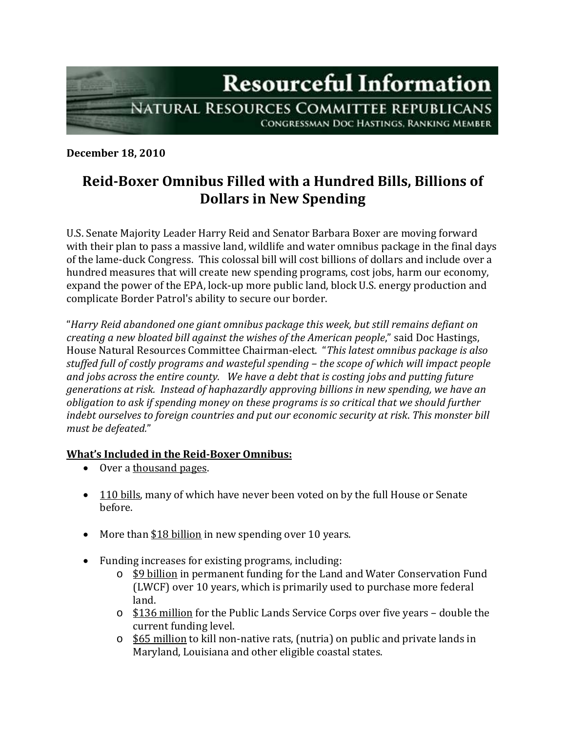

**December 18, 2010**

## **Reid-Boxer Omnibus Filled with a Hundred Bills, Billions of Dollars in New Spending**

U.S. Senate Majority Leader Harry Reid and Senator Barbara Boxer are moving forward with their plan to pass a massive land, wildlife and water omnibus package in the final days of the lame-duck Congress. This colossal bill will cost billions of dollars and include over a hundred measures that will create new spending programs, cost jobs, harm our economy, expand the power of the EPA, lock-up more public land, block U.S. energy production and complicate Border Patrol's ability to secure our border.

"*Harry Reid abandoned one giant omnibus package this week, but still remains defiant on creating a new bloated bill against the wishes of the American people*," said Doc Hastings, House Natural Resources Committee Chairman-elect. "*This latest omnibus package is also stuffed full of costly programs and wasteful spending – the scope of which will impact people and jobs across the entire county. We have a debt that is costing jobs and putting future generations at risk. Instead of haphazardly approving billions in new spending, we have an obligation to ask if spending money on these programs is so critical that we should further indebt ourselves to foreign countries and put our economic security at risk*. *This monster bill must be defeated.*"

## **What's Included in the Reid-Boxer Omnibus:**

- Over a thousand pages.
- 110 bills, many of which have never been voted on by the full House or Senate before.
- More than \$18 billion in new spending over 10 years.
- Funding increases for existing programs, including:
	- o \$9 billion in permanent funding for the Land and Water Conservation Fund (LWCF) over 10 years, which is primarily used to purchase more federal land.
	- $\circ$  \$136 million for the Public Lands Service Corps over five years double the current funding level.
	- o \$65 million to kill non-native rats, (nutria) on public and private lands in Maryland, Louisiana and other eligible coastal states.